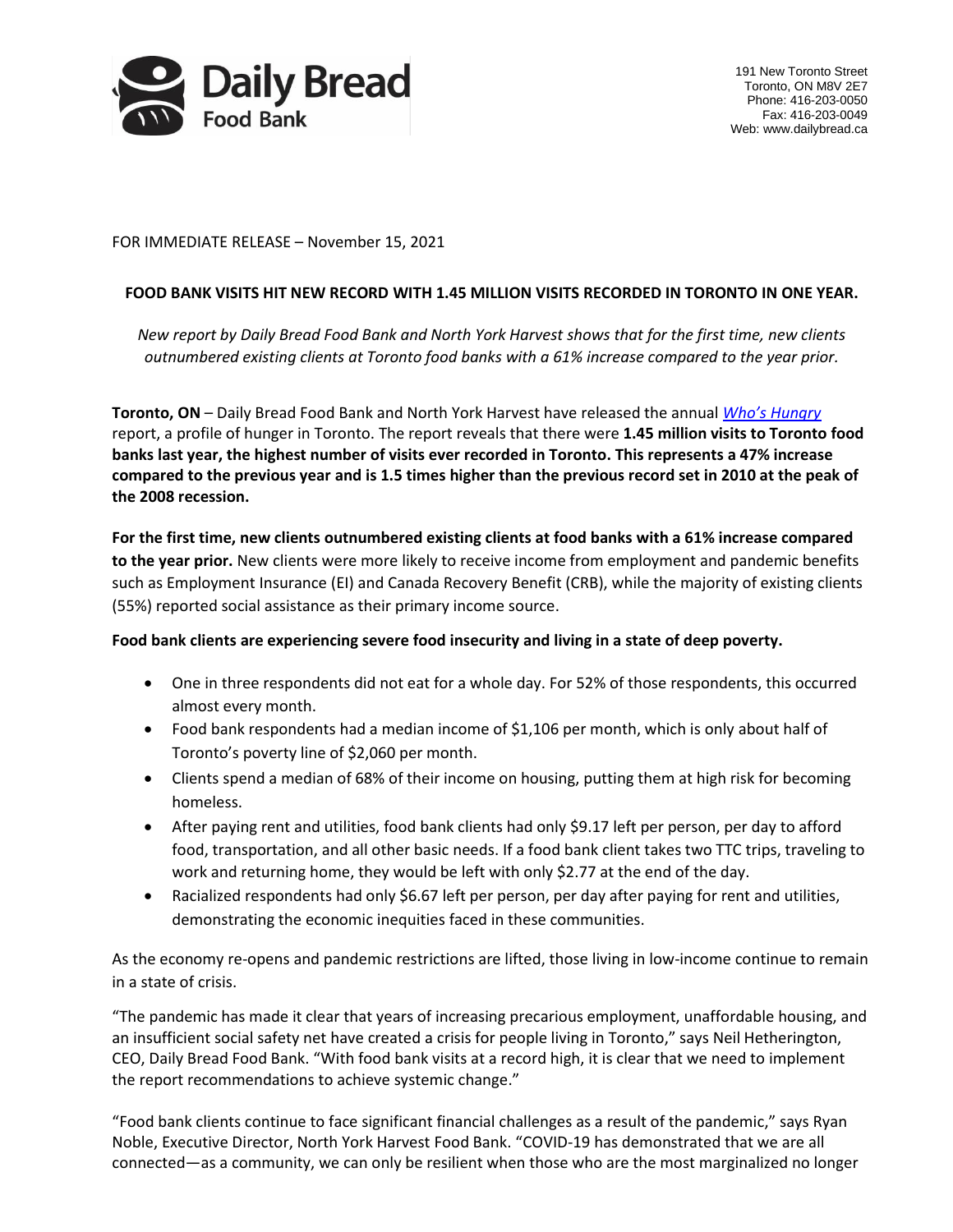

191 New Toronto Street Toronto, ON M8V 2E7 Phone: 416-203-0050 Fax: 416-203-0049 Web: www.dailybread.ca

FOR IMMEDIATE RELEASE – November 15, 2021

## **FOOD BANK VISITS HIT NEW RECORD WITH 1.45 MILLION VISITS RECORDED IN TORONTO IN ONE YEAR.**

*New report by Daily Bread Food Bank and North York Harvest shows that for the first time, new clients outnumbered existing clients at Toronto food banks with a 61% increase compared to the year prior.*

**Toronto, ON** – Daily Bread Food Bank and North York Harvest have released the annual *[Who's Hungry](https://www.dailybread.ca/research-and-advocacy/whos-hungry-report/)* report, a profile of hunger in Toronto. The report reveals that there were **1.45 million visits to Toronto food banks last year, the highest number of visits ever recorded in Toronto. This represents a 47% increase compared to the previous year and is 1.5 times higher than the previous record set in 2010 at the peak of the 2008 recession.**

**For the first time, new clients outnumbered existing clients at food banks with a 61% increase compared to the year prior.** New clients were more likely to receive income from employment and pandemic benefits such as Employment Insurance (EI) and Canada Recovery Benefit (CRB), while the majority of existing clients (55%) reported social assistance as their primary income source.

## **Food bank clients are experiencing severe food insecurity and living in a state of deep poverty.**

- One in three respondents did not eat for a whole day. For 52% of those respondents, this occurred almost every month.
- Food bank respondents had a median income of \$1,106 per month, which is only about half of Toronto's poverty line of \$2,060 per month.
- Clients spend a median of 68% of their income on housing, putting them at high risk for becoming homeless.
- After paying rent and utilities, food bank clients had only \$9.17 left per person, per day to afford food, transportation, and all other basic needs. If a food bank client takes two TTC trips, traveling to work and returning home, they would be left with only \$2.77 at the end of the day.
- Racialized respondents had only \$6.67 left per person, per day after paying for rent and utilities, demonstrating the economic inequities faced in these communities.

As the economy re-opens and pandemic restrictions are lifted, those living in low-income continue to remain in a state of crisis.

"The pandemic has made it clear that years of increasing precarious employment, unaffordable housing, and an insufficient social safety net have created a crisis for people living in Toronto," says Neil Hetherington, CEO, Daily Bread Food Bank. "With food bank visits at a record high, it is clear that we need to implement the report recommendations to achieve systemic change."

"Food bank clients continue to face significant financial challenges as a result of the pandemic," says Ryan Noble, Executive Director, North York Harvest Food Bank. "COVID-19 has demonstrated that we are all connected—as a community, we can only be resilient when those who are the most marginalized no longer